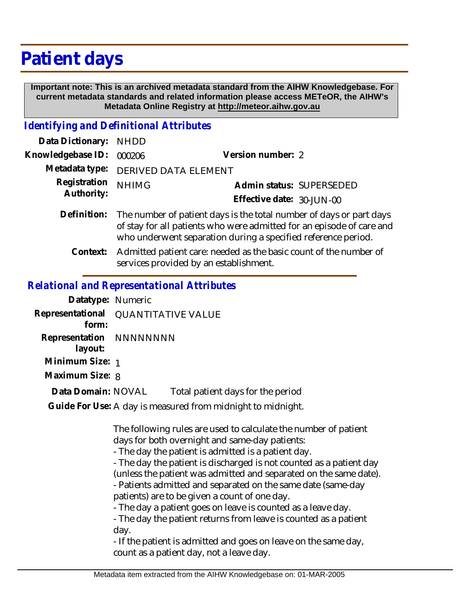## **Patient days**

 **Important note: This is an archived metadata standard from the AIHW Knowledgebase. For current metadata standards and related information please access METeOR, the AIHW's Metadata Online Registry at http://meteor.aihw.gov.au**

## *Identifying and Definitional Attributes*

| Data Dictionary: NHDD      |                                                                                                                                              |                           |                          |
|----------------------------|----------------------------------------------------------------------------------------------------------------------------------------------|---------------------------|--------------------------|
| Knowledgebase ID:          | 000206                                                                                                                                       | Version number: 2         |                          |
|                            | Metadata type: DERIVED DATA ELEMENT                                                                                                          |                           |                          |
| Registration<br>Authority: | <b>NHIMG</b>                                                                                                                                 |                           | Admin status: SUPERSEDED |
|                            |                                                                                                                                              | Effective date: 30-JUN-00 |                          |
| Definition:                | The number of patient days is the total number of days or part days<br>of stay for all patients who were admitted for an episode of care and |                           |                          |

who underwent separation during a specified reference period. Admitted patient care: needed as the basic count of the number of services provided by an establishment. **Context:**

## *Relational and Representational Attributes*

|                                    | told trondr and reprosentational retributes                 |
|------------------------------------|-------------------------------------------------------------|
| Datatype: Numeric                  |                                                             |
| Representational<br>form:          | <b>QUANTITATIVE VALUE</b>                                   |
| Representation NNNNNNNN<br>layout: |                                                             |
| Minimum Size: 1                    |                                                             |
| Maximum Size: 8                    |                                                             |
| Data Domain: NOVAL                 | Total patient days for the period                           |
|                                    | Guide For Use: A day is measured from midnight to midnight. |
|                                    |                                                             |

The following rules are used to calculate the number of patient days for both overnight and same-day patients:

- The day the patient is admitted is a patient day.

- The day the patient is discharged is not counted as a patient day (unless the patient was admitted and separated on the same date). - Patients admitted and separated on the same date (same-day

patients) are to be given a count of one day.

- The day a patient goes on leave is counted as a leave day.

- The day the patient returns from leave is counted as a patient day.

- If the patient is admitted and goes on leave on the same day, count as a patient day, not a leave day.